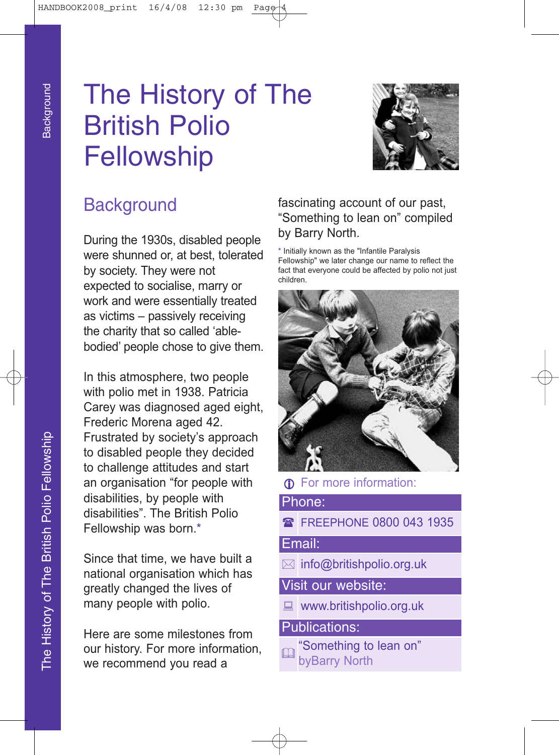# The History of The British Polio **Fellowship**



# **Background**

During the 1930s, disabled people were shunned or, at best, tolerated by society. They were not expected to socialise, marry or work and were essentially treated as victims – passively receiving the charity that so called 'ablebodied' people chose to give them.

In this atmosphere, two people with polio met in 1938. Patricia Carey was diagnosed aged eight, Frederic Morena aged 42. Frustrated by society's approach to disabled people they decided to challenge attitudes and start an organisation "for people with disabilities, by people with disabilities". The British Polio Fellowship was born.\*

Since that time, we have built a national organisation which has greatly changed the lives of many people with polio.

Here are some milestones from our history. For more information, we recommend you read a

## fascinating account of our past, "Something to lean on" compiled by Barry North.

\* Initially known as the "Infantile Paralysis Fellowship" we later change our name to reflect the fact that everyone could be affected by polio not just children.



**1** For more information:

#### Phone:

**R** FREEPHONE 0800 043 1935

#### Email:

 $\boxtimes$  info@britishpolio.org.uk

Visit our website:

 $\Box$  www.britishpolio.org.uk

### Publications:

"Something to lean on" byBarry North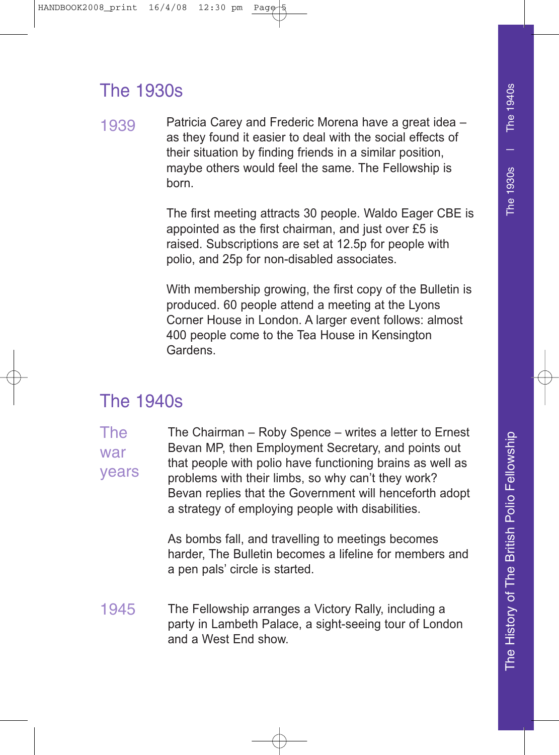# The 1930s

1939 Patricia Carey and Frederic Morena have a great idea – as they found it easier to deal with the social effects of their situation by finding friends in a similar position, maybe others would feel the same. The Fellowship is born.

> The first meeting attracts 30 people. Waldo Eager CBE is appointed as the first chairman, and just over £5 is raised. Subscriptions are set at 12.5p for people with polio, and 25p for non-disabled associates.

> With membership growing, the first copy of the Bulletin is produced. 60 people attend a meeting at the Lyons Corner House in London. A larger event follows: almost 400 people come to the Tea House in Kensington Gardens.

# The 1940s

The war years The Chairman – Roby Spence – writes a letter to Ernest Bevan MP, then Employment Secretary, and points out that people with polio have functioning brains as well as problems with their limbs, so why can't they work? Bevan replies that the Government will henceforth adopt a strategy of employing people with disabilities.

> As bombs fall, and travelling to meetings becomes harder, The Bulletin becomes a lifeline for members and a pen pals' circle is started.

1945 The Fellowship arranges a Victory Rally, including a party in Lambeth Palace, a sight-seeing tour of London and a West End show.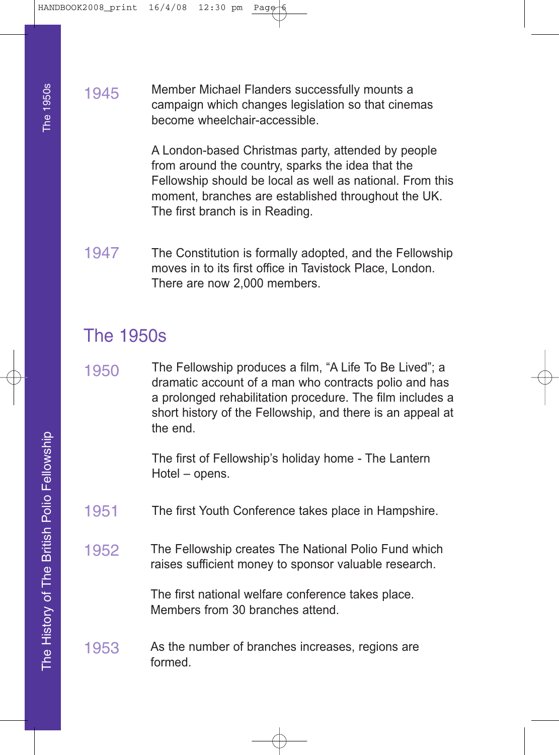1945 Member Michael Flanders successfully mounts a campaign which changes legislation so that cinemas become wheelchair-accessible.

> A London-based Christmas party, attended by people from around the country, sparks the idea that the Fellowship should be local as well as national. From this moment, branches are established throughout the UK. The first branch is in Reading.

1947 The Constitution is formally adopted, and the Fellowship moves in to its first office in Tavistock Place, London. There are now 2,000 members.

## The 1950s

1950 The Fellowship produces a film, "A Life To Be Lived"; a dramatic account of a man who contracts polio and has a prolonged rehabilitation procedure. The film includes a short history of the Fellowship, and there is an appeal at the end.

> The first of Fellowship's holiday home - The Lantern Hotel – opens.

- 1951 The first Youth Conference takes place in Hampshire.
- 1952 The Fellowship creates The National Polio Fund which raises sufficient money to sponsor valuable research.

The first national welfare conference takes place. Members from 30 branches attend.

1953 As the number of branches increases, regions are formed.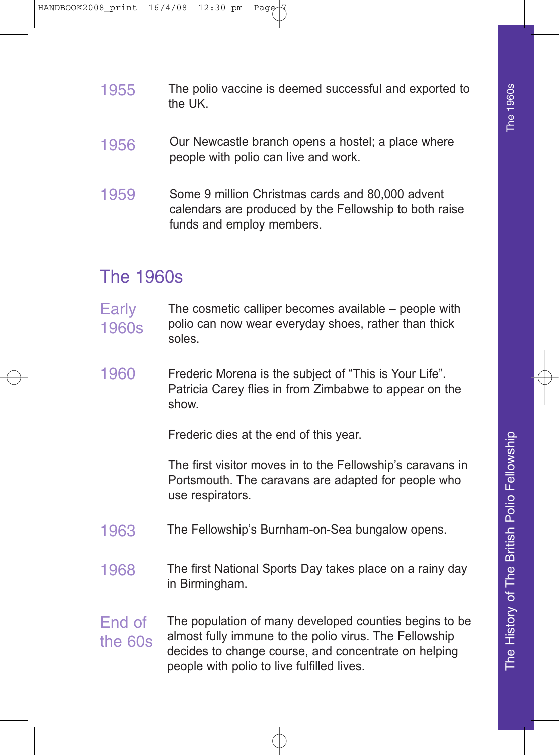- 1955 The polio vaccine is deemed successful and exported to the UK.
- 1956 Our Newcastle branch opens a hostel; a place where people with polio can live and work.
- 1959 Some 9 million Christmas cards and 80,000 advent calendars are produced by the Fellowship to both raise funds and employ members.

# The 1960s

- **Early** 1960s The cosmetic calliper becomes available – people with polio can now wear everyday shoes, rather than thick soles.
- 1960 Frederic Morena is the subject of "This is Your Life". Patricia Carey flies in from Zimbabwe to appear on the show.

Frederic dies at the end of this year.

The first visitor moves in to the Fellowship's caravans in Portsmouth. The caravans are adapted for people who use respirators.

- 1963 The Fellowship's Burnham-on-Sea bungalow opens.
- 1968 The first National Sports Day takes place on a rainy day in Birmingham.
- End of the 60s The population of many developed counties begins to be almost fully immune to the polio virus. The Fellowship decides to change course, and concentrate on helping people with polio to live fulfilled lives.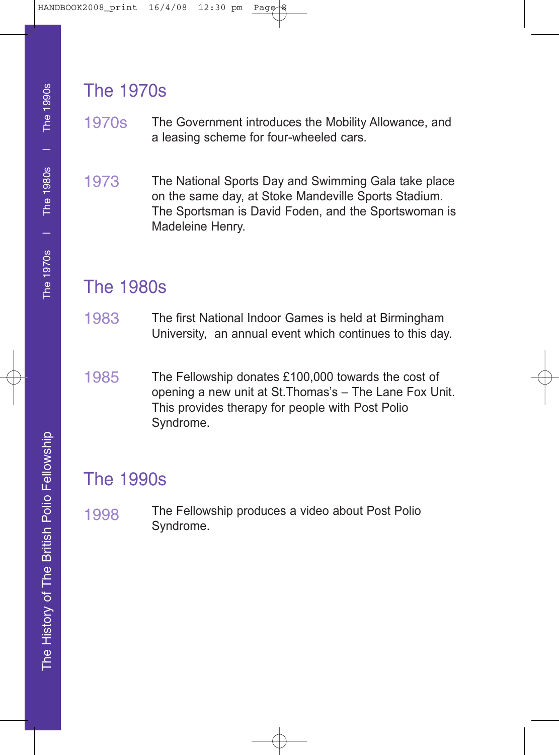# The 1970s

- 1970s The Government introduces the Mobility Allowance, and a leasing scheme for four-wheeled cars.
- 1973 The National Sports Day and Swimming Gala take place on the same day, at Stoke Mandeville Sports Stadium. The Sportsman is David Foden, and the Sportswoman is Madeleine Henry.

# The 1980s

- 1983 The first National Indoor Games is held at Birmingham University, an annual event which continues to this day.
- 1985 The Fellowship donates £100,000 towards the cost of opening a new unit at St.Thomas's – The Lane Fox Unit. This provides therapy for people with Post Polio Syndrome.

# The 1990s

1998 The Fellowship produces a video about Post Polio Syndrome.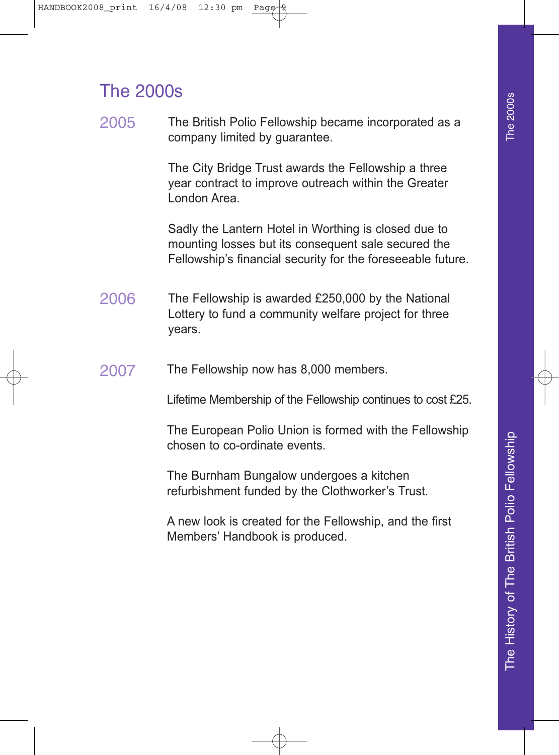# The 2000s

2005 The British Polio Fellowship became incorporated as a company limited by guarantee.

> The City Bridge Trust awards the Fellowship a three year contract to improve outreach within the Greater London Area.

Sadly the Lantern Hotel in Worthing is closed due to mounting losses but its consequent sale secured the Fellowship's financial security for the foreseeable future.

- 2006 The Fellowship is awarded £250,000 by the National Lottery to fund a community welfare project for three years.
- 2007 The Fellowship now has 8,000 members.

Lifetime Membership of the Fellowship continues to cost £25.

The European Polio Union is formed with the Fellowship chosen to co-ordinate events.

The Burnham Bungalow undergoes a kitchen refurbishment funded by the Clothworker's Trust.

A new look is created for the Fellowship, and the first Members' Handbook is produced.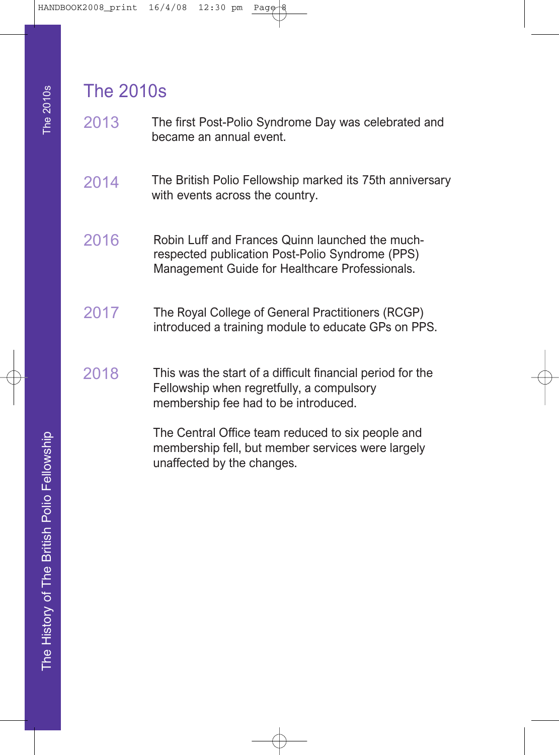## The 2010s

- 2013 The first Post-Polio Syndrome Day was celebrated and became an annual event.
- 2014 The British Polio Fellowship marked its 75th anniversary with events across the country.
- 2016 Robin Luff and Frances Quinn launched the muchrespected publication Post-Polio Syndrome (PPS) Management Guide for Healthcare Professionals.
- 2017 The Royal College of General Practitioners (RCGP) introduced a training module to educate GPs on PPS.
- 2018 This was the start of a difficult financial period for the Fellowship when regretfully, a compulsory membership fee had to be introduced.

The Central Office team reduced to six people and membership fell, but member services were largely unaffected by the changes.